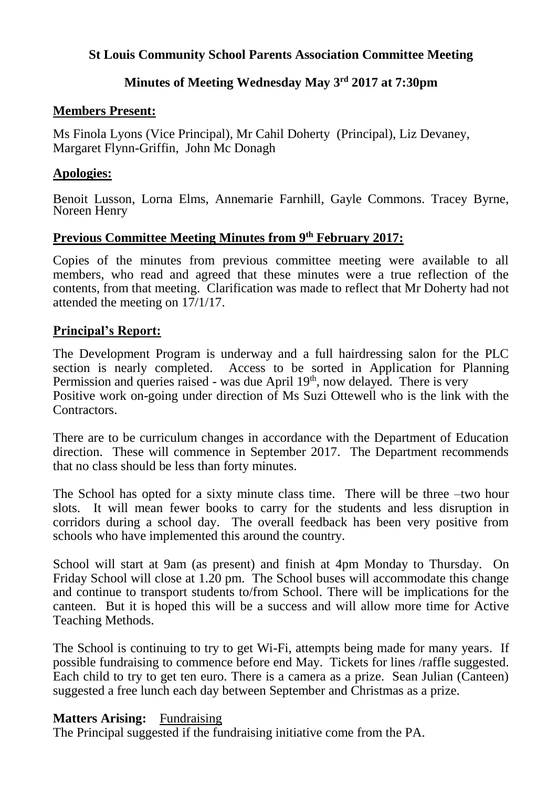### **St Louis Community School Parents Association Committee Meeting**

## **Minutes of Meeting Wednesday May 3rd 2017 at 7:30pm**

### **Members Present:**

Ms Finola Lyons (Vice Principal), Mr Cahil Doherty (Principal), Liz Devaney, Margaret Flynn-Griffin, John Mc Donagh

### **Apologies:**

Benoit Lusson, Lorna Elms, Annemarie Farnhill, Gayle Commons. Tracey Byrne, Noreen Henry

# **Previous Committee Meeting Minutes from 9 th February 2017:**

Copies of the minutes from previous committee meeting were available to all members, who read and agreed that these minutes were a true reflection of the contents, from that meeting. Clarification was made to reflect that Mr Doherty had not attended the meeting on 17/1/17.

# **Principal's Report:**

The Development Program is underway and a full hairdressing salon for the PLC section is nearly completed. Access to be sorted in Application for Planning Permission and queries raised - was due April 19<sup>th</sup>, now delayed. There is very Positive work on-going under direction of Ms Suzi Ottewell who is the link with the Contractors.

There are to be curriculum changes in accordance with the Department of Education direction. These will commence in September 2017. The Department recommends that no class should be less than forty minutes.

The School has opted for a sixty minute class time. There will be three –two hour slots. It will mean fewer books to carry for the students and less disruption in corridors during a school day. The overall feedback has been very positive from schools who have implemented this around the country.

School will start at 9am (as present) and finish at 4pm Monday to Thursday. On Friday School will close at 1.20 pm. The School buses will accommodate this change and continue to transport students to/from School. There will be implications for the canteen. But it is hoped this will be a success and will allow more time for Active Teaching Methods.

The School is continuing to try to get Wi-Fi, attempts being made for many years. If possible fundraising to commence before end May. Tickets for lines /raffle suggested. Each child to try to get ten euro. There is a camera as a prize. Sean Julian (Canteen) suggested a free lunch each day between September and Christmas as a prize.

# **Matters Arising:** Fundraising

The Principal suggested if the fundraising initiative come from the PA.